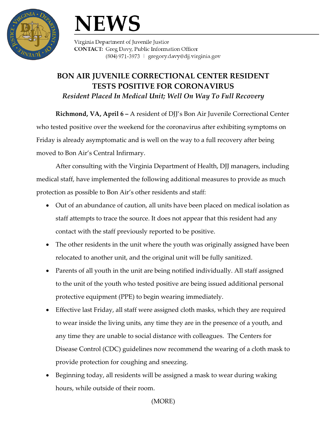

## **NEWS**

Virginia Department of Juvenile Justice **CONTACT:** Greg Davy, Public Information Officer (804) 971-3973 | gregory.davy@djj.virginia.gov

## **BON AIR JUVENILE CORRECTIONAL CENTER RESIDENT TESTS POSITIVE FOR CORONAVIRUS** *Resident Placed In Medical Unit; Well On Way To Full Recovery*

**Richmond, VA, April 6 –** A resident of DJJ's Bon Air Juvenile Correctional Center who tested positive over the weekend for the coronavirus after exhibiting symptoms on Friday is already asymptomatic and is well on the way to a full recovery after being moved to Bon Air's Central Infirmary.

After consulting with the Virginia Department of Health, DJJ managers, including medical staff, have implemented the following additional measures to provide as much protection as possible to Bon Air's other residents and staff:

- Out of an abundance of caution, all units have been placed on medical isolation as staff attempts to trace the source. It does not appear that this resident had any contact with the staff previously reported to be positive.
- The other residents in the unit where the youth was originally assigned have been relocated to another unit, and the original unit will be fully sanitized.
- Parents of all youth in the unit are being notified individually. All staff assigned to the unit of the youth who tested positive are being issued additional personal protective equipment (PPE) to begin wearing immediately.
- Effective last Friday, all staff were assigned cloth masks, which they are required to wear inside the living units, any time they are in the presence of a youth, and any time they are unable to social distance with colleagues. The Centers for Disease Control (CDC) guidelines now recommend the wearing of a cloth mask to provide protection for coughing and sneezing.
- Beginning today, all residents will be assigned a mask to wear during waking hours, while outside of their room.